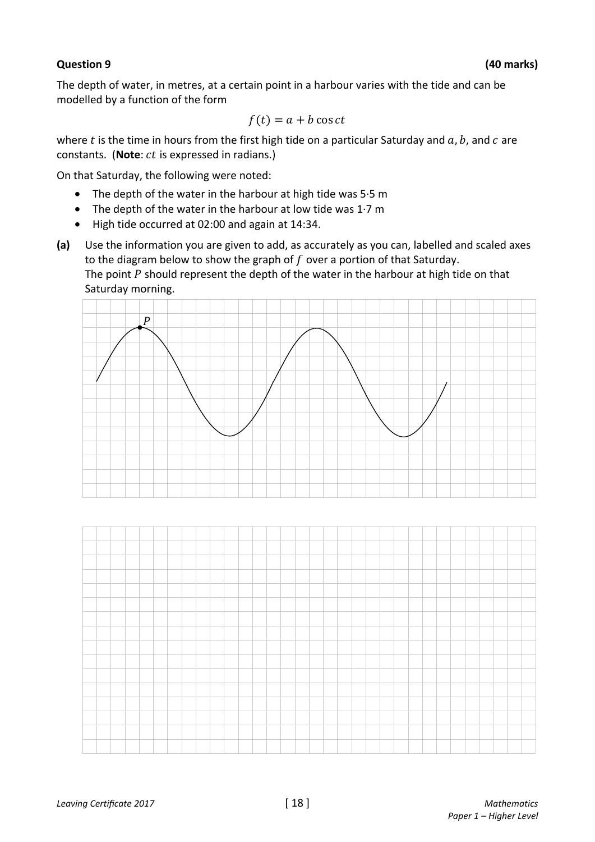## **Question 9 (40 marks)**

The depth of water, in metres, at a certain point in a harbour varies with the tide and can be modelled by a function of the form

$$
f(t) = a + b \cos ct
$$

where  $t$  is the time in hours from the first high tide on a particular Saturday and  $a, b$ , and  $c$  are constants. (Note: *ct* is expressed in radians.)

On that Saturday, the following were noted:

- The depth of the water in the harbour at high tide was 5·5 m
- The depth of the water in the harbour at low tide was  $1.7 \text{ m}$
- High tide occurred at 02:00 and again at 14:34.
- **(a)** Use the information you are given to add, as accurately as you can, labelled and scaled axes to the diagram below to show the graph of  $f$  over a portion of that Saturday. The point  $P$  should represent the depth of the water in the harbour at high tide on that Saturday morning.